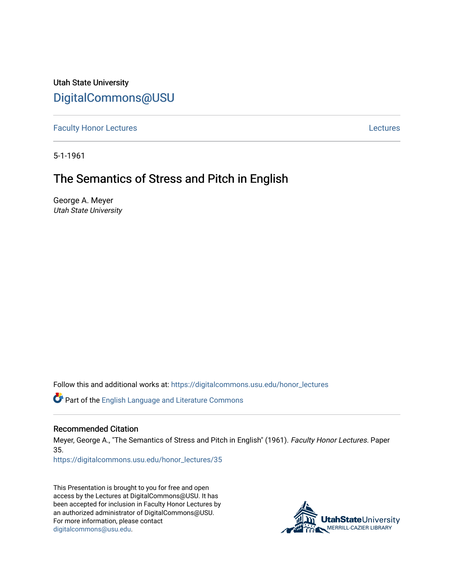Utah State University [DigitalCommons@USU](https://digitalcommons.usu.edu/)

[Faculty Honor Lectures](https://digitalcommons.usu.edu/honor_lectures) **Lectures** [Lectures](https://digitalcommons.usu.edu/lectures) **Lectures** 

5-1-1961

# The Semantics of Stress and Pitch in English

George A. Meyer Utah State University

Follow this and additional works at: [https://digitalcommons.usu.edu/honor\\_lectures](https://digitalcommons.usu.edu/honor_lectures?utm_source=digitalcommons.usu.edu%2Fhonor_lectures%2F35&utm_medium=PDF&utm_campaign=PDFCoverPages)

Part of the [English Language and Literature Commons](http://network.bepress.com/hgg/discipline/455?utm_source=digitalcommons.usu.edu%2Fhonor_lectures%2F35&utm_medium=PDF&utm_campaign=PDFCoverPages)

## Recommended Citation

Meyer, George A., "The Semantics of Stress and Pitch in English" (1961). Faculty Honor Lectures. Paper 35.

[https://digitalcommons.usu.edu/honor\\_lectures/35](https://digitalcommons.usu.edu/honor_lectures/35?utm_source=digitalcommons.usu.edu%2Fhonor_lectures%2F35&utm_medium=PDF&utm_campaign=PDFCoverPages) 

This Presentation is brought to you for free and open access by the Lectures at DigitalCommons@USU. It has been accepted for inclusion in Faculty Honor Lectures by an authorized administrator of DigitalCommons@USU. For more information, please contact [digitalcommons@usu.edu.](mailto:digitalcommons@usu.edu)

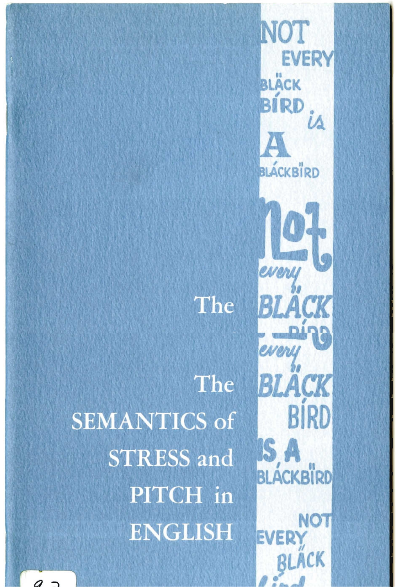The **SEMANTICS of STRESS** and PITCH in **ENGLISH** 

everi BLA ຊ $\ddot{A} C$ **LACKBIR COMPANY BLÁCKBIRD NOT EVER** BLÄCK

The

ii. **LACK**  ,

NOT

BIRD

**BLÁCKBIRD** 

lA

**EVERY** 

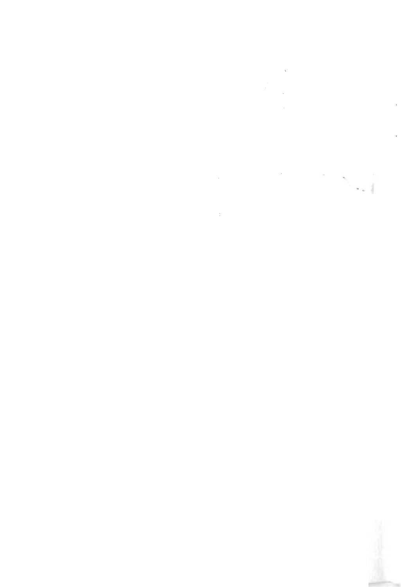$\label{eq:1} \Delta_{\rm{max}} = \frac{1}{2} \sum_{i=1}^{N} \frac{1}{2} \sum_{i=1}^{N} \frac{1}{2} \sum_{i=1}^{N} \frac{1}{2} \sum_{i=1}^{N} \frac{1}{2} \sum_{i=1}^{N} \frac{1}{2} \sum_{i=1}^{N} \frac{1}{2} \sum_{i=1}^{N} \frac{1}{2} \sum_{i=1}^{N} \frac{1}{2} \sum_{i=1}^{N} \frac{1}{2} \sum_{i=1}^{N} \frac{1}{2} \sum_{i=1}^{N} \frac{1}{2} \sum_{i=1}^{N}$ 

 $\mathcal{L}^{\text{max}}_{\text{max}}$  and  $\mathcal{L}^{\text{max}}_{\text{max}}$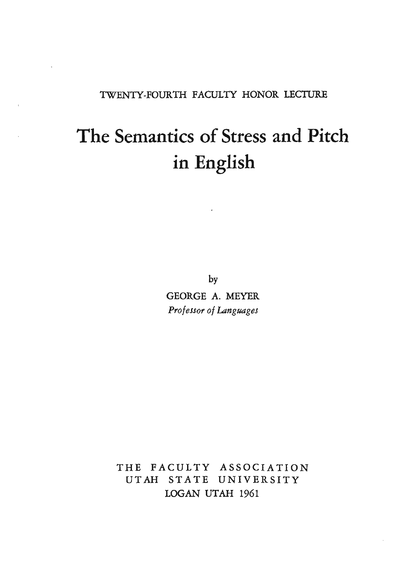## 1WENTY-FOURTH FACULTY HONOR LECTURE

# **The Semantics of Stress and Pitch in English**

by

GEORGE A. MEYER *Professor of Languages* 

THE FACULTY ASSOCIATION UTAH STATE UNIVERSITY LOGAN UTAH 1961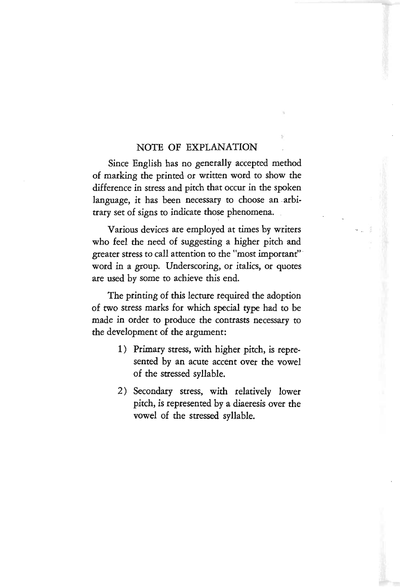### NOTE OF EXPLANATION

Since English has no generally accepted method of marking the printed or written word to show the difference in stress and pitch that occur in the spoken language, it has been necessary to choose an arbitrary set of signs to indicate those phenomena.

Various devices are employed at times by writers who feel the need of suggesting a higher pitch and greater stress to call attention to the "most important" word in a group. Underscoring, or italics, or quotes are used by some to achieve this end.

The printing of this lecture required the adoption of two stress marks for which special type had to be made in order to produce the contrasts necessary to the development of the argument:

- 1 ) Primary stress, with higher pitch, is represented by an acute accent over the vowel of the stressed syllable.
- 2) Secondary stress, with relatively lower pitch, is represented by a diaeresis over the vowel of the stressed syllable.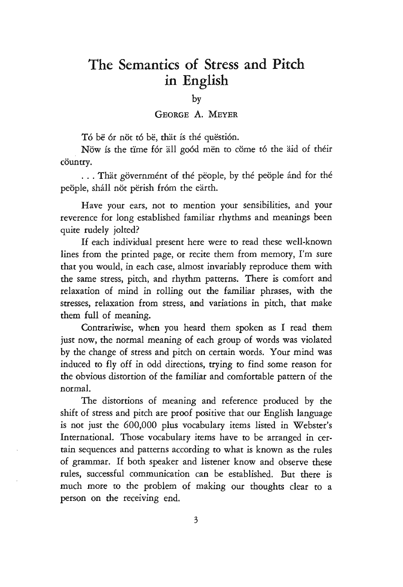# **The Semantics of Stress and Pitch in English**

#### by

#### GEORGE A. MEYER

To be or not to be, that *is* the question.

Now is the time for all good men to come to the aid of their cöuntry.

... That government of the people, by the people and for the peöple, sháll nöt përish fróm the eärth.

Have your ears, not to mention your sensibilities, and your reverence for long established familiar rhythms and meanings been quite rudely jolted?

If each individual present here were to read these well-known lines from the printed page, or recite them from memory, I'm sure that you would, in each case, almost invariably reproduce them with the same stress, pitch, and rhythm patterns. There is comfort and relaxation of mind in rolling out the familiar phrases, with the stresses, relaxation from stress, and variations in pitch, that make them full of meaning.

Contrariwise, when you heard them spoken as I read them just now, the normal meaning of each group of words was violated by the change of stress and pitch on certain words. Your mind was induced to fly off in odd directions, trying to find some reason for the obvious distortion of the familiar and comfortable pattern of the normal.

The distortions of meaning and reference produced by the shift of stress and pitch are proof positive that our English language is not just the 600,000 plus vocabulary items listed in Webster's International. Those vocabulary items have to be arranged in certain sequences and patterns according to what is known as the rules of grammar. If both speaker and listener know and observe these rules, successful communication can be established. But there is much more to the problem of making our thoughts clear to a person on the receiving end.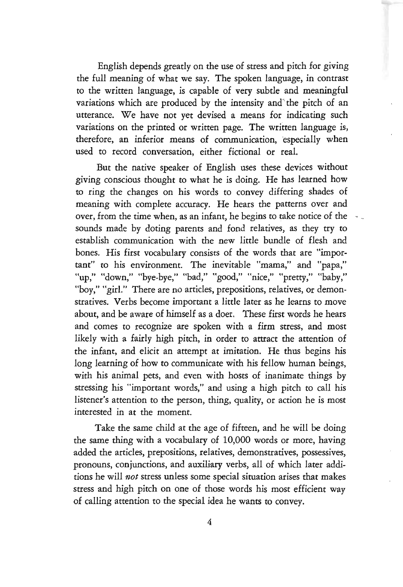English depends greatly on the use of stress and pitch for giving the full meaning of what we say. The spoken language, in contrast to the written language, is capable of very subtle and meaningful variations which are produced by the intensity and' the pitch of an utterance. We have not yet devised a means for indicating such variations on the printed or written page. The written language is, therefore, an inferior means of communication, especially when used to record conversation, either fictional or real.

But the native speaker of English uses these devices without giving conscious thought to what he is doing. He has learned how to ring the changes on his words to convey differing shades of meaning with complete accuracy. He hears the patterns over and over, from the time when, as an infant, he begins to take notice of the • sounds made by doting parents and fond relatives, as they try to establish communication with the new little bundle of flesh and bones. His first vocabulary consists of the words that are "important" to his environment. The inevitable "mama," and "papa," "up," "down," "bye-bye," "bad," "good," "nice," "pretty," "baby," "boy," "girl." There are no articles, prepositions, relatives, or demonstratives. Verbs become important a little later as he learns to move about, and be aware of himself as a doer. These first words he hears and comes to recognize are spoken with a firm stress, and most likely with a fairly high pitch, in order to attract the attention of the infant, and elicit an attempt at imitation. He thus begins his long learning of how to communicate with his fellow human beings, with his animal pets, and even with hosts of inanimate things by stressing his "important words," and using a high pitch to call his listener's attention to the person, thing, quality, or action he is most interested in at the moment.

Take the same child at the age of fifteen, and he will be doing the same thing with a vocabulary of 10,000 words or more, having added the articles, prepositions, relatives, demonstratives, possessives, pronouns, conjunctions, and auxiliary verbs, all of which later additions he will *not* stress unless some special situation arises that makes stress and high pitch on one of those words his most efficient way of calling attention to the special idea he wants to convey.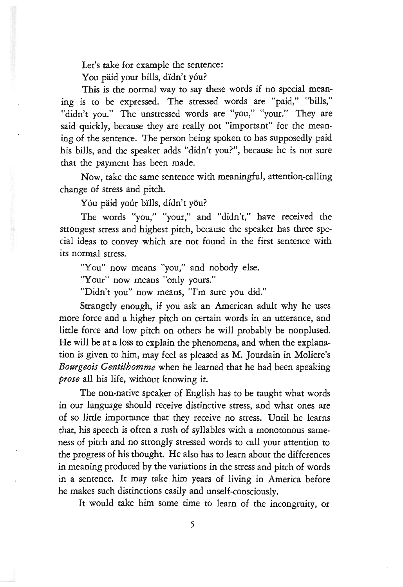Let's take for example the sentence: You päid your bílls, dïdn't yóu?

This is the normal way to say these words if no special meaning is to be expressed. The stressed words are "paid," "bills," "didn't you." The unstressed words are "you," "your." They are said quickly, because they are really not "important" for the meaning of the sentence. The person being spoken to has supposedly paid his bills, and the speaker adds "didn't you?", because he is not sure that the payment has been made.

Now, take the same sentence with meaningful, attention-calling change of stress and pitch.

Yóu päid yoúr bïlls, dídn't yöu?

The words "you," "your," and "didn't," have received the strongest stress and highest pitch, because the speaker has three special ideas to convey which are not found in the first sentence with its normal stress.

"You" now means "you," and nobody else.

"Your" now means "only yours."

"Didn't you" now means, "I'm sure you did."

Strangely enough, if you ask an American adult why he uses more force and a higher pitch on certain words in an utterance, and little force and low pitch on others he will probably be nonplused. He will be at a loss to explain the phenomena, and when the explanation is given to him, may feel as pleased as M. Jourdain in Moliere's *Bourgeois Gentilhomme* when he learned that he had been speaking *prose* all his life, without knowing it.

The non-native speaker of English has to be taught what words in our language should receive distinctive stress, and what ones are of so little importance that they receive no stress. Until he learns that, his speech is often a rush of syllables with a monotonous sameness of pitch and no strongly stressed words to call your attention to the progress of his thought. He also has to learn about the differences in meaning produced by the variations in the stress and pitch of words in a sentence. It may take him years of living in America before he makes such distinctions easily and unself-consciously.

It would take him some time to learn of the incongruity, or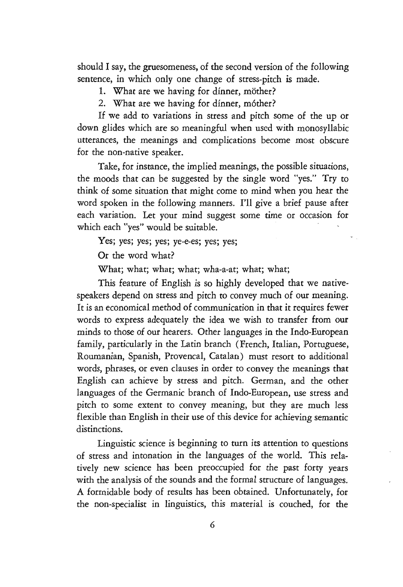should I say, the gruesomeness, of the second version of the following sentence, in which only one change of stress-pitch is made.

- 1. What are we having for dinner, möther?
- 2. What are we having for dinner, mother?

If we add to variations in stress and pitch some of the up or down glides which are so meaningful when used with monosyllabic utterances, the meanings and complications become most obscure for the non-native speaker.

Take, for instance, the implied meanings, the possible situations, the moods that can be suggested by the single word "yes." Try to think of some situation that might come to mind when you hear the word spoken in the following manners. I'll give a brief pause after each variation. Let your mind suggest some time or occasion for which each "yes" would be suitable.

Yes; yes; yes; yes; ye-e-es; yes; yes;

Or the word what?

What; what; what; what; wha-a-at; what; what;

This feature of English is so highly developed that we nativespeakers depend on stress and pitch to convey much of our meaning. It is an economical method of communication in that it requires fewer words to express adequately the idea we wish to transfer from our minds to those of our hearers. Other languages in the Indo-European family, particularly in the Latin branch (French, Italian, Portuguese, Roumanian, Spanish, Provencal, Catalan) must resort to additional words, phrases, or even clauses in order to convey the meanings that English can achieve by stress and pitch. German, and the other languages of the Germanic branch of Indo-European, use stress and pitch to some extent to convey meaning, but they are much less flexible than English in their use of this device for achieving semantic distinctions.

Linguistic science is beginning to turn its attention to questions of stress and intonation in the languages of the world. This relatively new science has been preoccupied for the past forty years with the analysis of the sounds and the formal structure of languages. A formidable body of results has been obtained. Unfortunately, for the non-specialist in linguistics, this material is couched, for the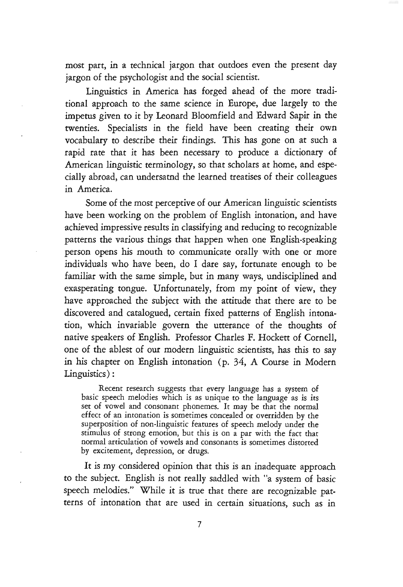most part, in a technical jargon that outdoes even the present day jargon of the psychologist and the social scientist.

Linguistics in America has forged ahead of the more traditional approach to the same science in Europe, due largely to the impetus given to it by Leonard Bloomfield and Edward Sapir in the twenties. Specialists in the field have been creating their own vocabulary to describe their findings. This has gone on at such a rapid rate that it has been necessary to produce a dictionary of American linguistic terminology, so that scholars at home, and especially abroad, can undersatnd the learned treatises of their colleagues in America.

Some of the most perceptive of our American linguistic scientists have been working on the problem of English intonation, and have achieved impressive results in classifying and reducing to recognizable patterns the various things that happen when one English-speaking person opens his mouth to communicate orally with one or more individuals who have been, do I dare say, fortunate enough to be familiar with the same simple, but in many ways, undisciplined and exasperating tongue. Unfortunately, from my point of view, they have approached the subject with the attitude that there are to be discovered and catalogued, certain fixed patterns of English intonation, which invariable govern the utterance of the thoughts of native speakers of English. Professor Charles F. Hockett of Cornell, one of the ablest of our modern linguistic scientists, has this to say in his chapter on English intonation (p. 34, A Course in Modern Linguistics) :

Recent research suggests that every language has a system of basic speech melodies which is as unique to the language as is its set of vowel and consonant phonemes. It may be that the normal effect of an intonation is sometimes concealed or overridden by the superposition of non-linguistic features of speech melody under the stimulus of strong emotion, but this is on a par with the fact that normal articulation of vowels and consonants is sometimes distorted by excitement, depression, or drugs.

It is my considered opinion that this is an inadequate approach to the subject. English is not really saddled with "a system of basic speech melodies." While it is true that there are recognizable patterns of intonation that are used in certain situations, such as in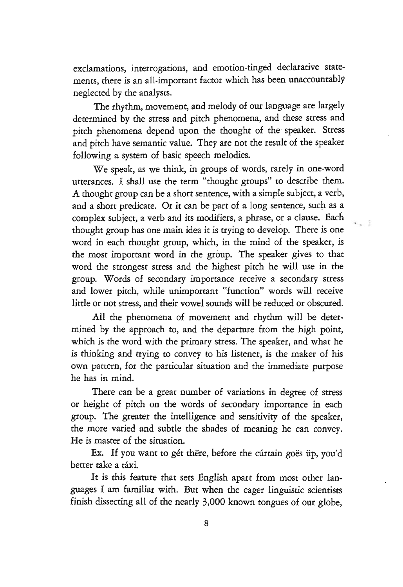exclamations, interrogations, and emotion-tinged declarative statements, there is an all-important factor which has been unaccountably neglected by the analysts.

The rhythm, movement, and melody of our language are largely determined by the stress and pitch phenomena, and these stress and pitch phenomena depend upon the thought of the' speaker. Stress and pitch have semantic value. They are not the result of the speaker following a system of basic speech melodies.

We speak, as we think, in groups of words, rarely in one-word utterances. I shall use the term "thought groups" to describe them. A thought group can be a short sentence, with a simple subject, a verb, and a short predicate. Or it can be part of a long sentence, such as a complex subject, a verb and *its* modifiers, a phrase, or a clause. Each thought group has one main idea *it is* trying to develop. There *is* one word in each thought group, which, in the mind of the speaker, is the most important word in the group. The speaker gives to that word the strongest stress and the highest pitch he will use in the group. Words of secondary importance receive a secondary stress and lower pitch, while unimportant "function" words will receive little or not stress, and their vowel sounds will be reduced or obscured.

All the phenomena of movement and rhythm will be determined by the approach to, and the departure from the high point, which *is* the word with the primary stress. The speaker, and what he *is* thinking and trying to convey to his listener, *is* the maker of his own pattern, for the particular situation and the immediate purpose he has in mind.

There can be a great number of variations in degree of stress or height of pitch on the words of secondary importance in each group. The greater the intelligence and sensitivity of the speaker, the more varied and subtle the shades of meaning he can convey. He *is* master of the situation.

Ex. If you want to gét there, before the cúrtain goes up, you'd better take a taxi.

It *is* this feature that sets English apart from most other languages I am familiar with. But when the eager linguistic scientists finish dissecting all of the nearly 3,000 known tongues of our globe,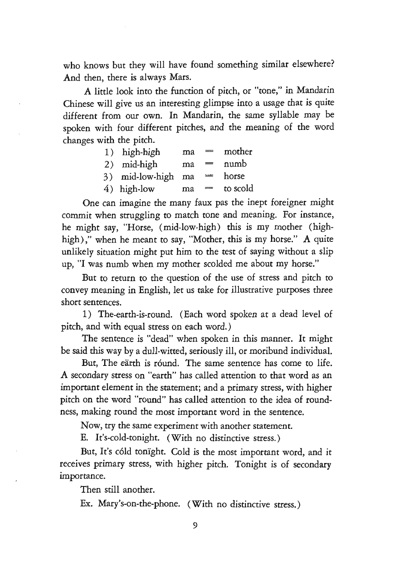who knows but they will have found something similar elsewhere? And then, there is always Mars.

A little look into the function of pitch, or "tone," in Mandarin Chinese will give us an interesting glimpse into a usage that is quite different from our own. In Mandarin, the same syllable may be spoken with four different pitches, and the meaning of the word changes with the pitch.

- 1) high-high ma mother
- 2) mid-high ma numb

3) mid-low-high rna horse  $\qquad \qquad \overline{\qquad \qquad }$ 

to scold  $4)$  high-low ma  $\frac{1}{2}$ 

One can imagine the many faux pas the inept foreigner might commit when struggling to match tone and meaning. For instance, he might say, "Horse, (mid-low-high) this is my mother (highhigh)," when he meant to say, "Mother, this is my horse." A quite unlikely situation might put him to the test of saying without a slip up, "I was numb when my mother scolded me about my horse."

But to return to the question of the use of stress and pitch to convey meaning in English, let us take for illustrative purposes three short sentences.

1) The-earth-is-round. (Each word spoken at a dead level of pitch, and with equal stress on each word.)

The sentence is "dead" when spoken in this manner. It might be said this way by a dull-witted, seriously ill, or moribund individual.

But, The eärth is róund. The same sentence has come to life. A secondary stress on "earth" has called attention to that word as an important element in the statement; and a primary stress, with higher pitch on the word "round" has called attention to the idea of roundness, making round the most important word in the sentence.

Now, try the same experiment with another statement.

E. It's-cold-tonight. (With no distinctive stress.)

But, It's cóld tonight. Cold is the most important word, and it receives primary stress, with higher pitch. Tonight *is* of secondary importance.

Then still another.

Ex. Mary's-on-the-phone. (With no distinctive stress.)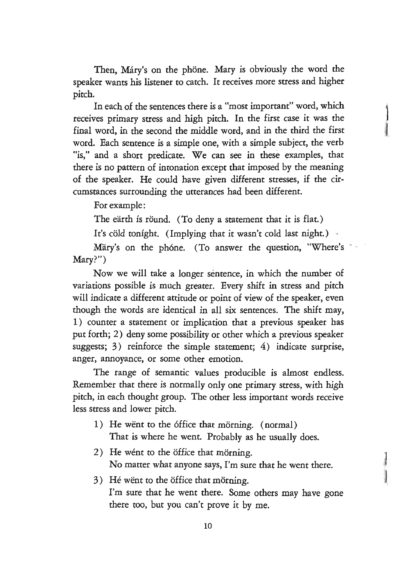Then, Máry's on the phöne. Mary is obviously the word the speaker wants his listener to catch. It receives more stress and higher pitch.

In each of the sentences there is a "most important" word, which receives primary stress and high pitch. In the first case it was the final word, in the second the middle word, and in the third the first word. Each sentence is a simple one, with a simple subject, the verb "is," and a short predicate. We can see in these examples, that there is no pattern of intonation except that imposed by the meaning of the speaker. He could have given different stresses, if the circumstances surrounding the utterances had been different.

For example:

The earth is round. (To deny a statement that it is flat.)

It's cold tonight. (Implying that it wasn't cold last night.) .

Märy's on the phone. (To answer the question, "Where's Mary?")

Now we will take a longer sentence, in which the number of variations possible is much greater. Every shift in stress and pitch will indicate a different attitude or point of view of the speaker, even though the words are identical in all six sentences. The shift may, 1) counter a statement or implication that a previous speaker has put forth; 2) deny some possibility or other which a previous speaker suggests; 3) reinforce the simple statement; 4) indicate surprise, anger, annoyance, or some other emotion.

The range of semantic values producible is almost endless. Remember that there is normally only one primary stress, with high pitch, in each thought group. The other less important words receive less stress and lower pitch.

- 1) He went to the óffice that mörning. (normal) That is where he went. Probably as he usually does.
- 2) He went to the öffice that mörning. No matter what anyone says, I'm sure that he went there.

]

J

3) Hé went to the office that morning. I'm sure that he went there. Some others may have gone there too, but you can't prove it by me.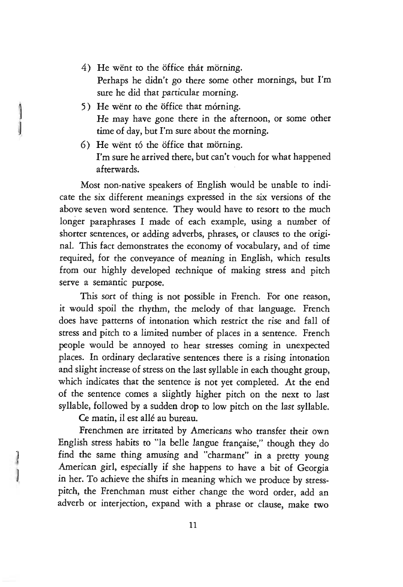- 4) He went to the öffice that mörning. Perhaps he didn't go there some other mornings, but I'm sure he did that particular morning.
- 5) He wënt to the öffice that mórning. He may have gone there in the afternoon, or some other time of day, but I'm sure about the morning.
- 6) He went t6 the office that morning. I'm sure he arrived there, but can't vouch for what happened afterwards.

Most non-native speakers of English would be unable to indicate the six different meanings expressed in the six versions of the above seven word sentence. They would have to resort to the much longer paraphrases I made of each example, using a number of shorter sentences, or adding adverbs, phrases, or clauses to the original. This fact demonstrates the economy of vocabulary, and of time required, for the conveyance of meaning in English, which results from our highly developed technique of making stress and pitch serve a semantic purpose.

This sort of thing is not possible in French. For one reason, it would spoil the rhythm, the melody of that language. French does have patterns of intonation which restrict the rise and fall of stress and pitch to a limited number of places in a sentence. French people would be annoyed to hear stresses coming in unexpected places. In ordinary declarative sentences there is a rising intonation and slight increase of stress on the last syllable in each thought group, which indicates that the sentence is not yet completed. At the end of the sentence comes a slightly higher pitch on the next to last syllable, followed by a sudden drop to low pitch on the last syllable.

Ce matin, il est aIle au bureau.

Frenchmen are irritated by Americans who transfer their own English stress habits to "la belle langue française," though they do find the same thing amusing and "charmant" in a pretty young American girl, especially if she happens to have a bit of Georgia in her. To achieve the shifts in meaning which we produce by stresspitch, the Frenchman must either change the word order, add an adverb or interjection, expand with a phrase or clause, make two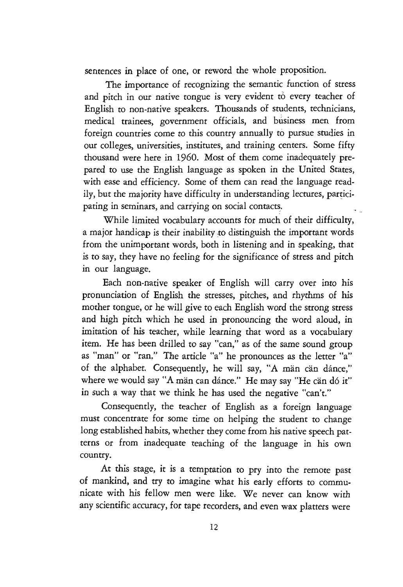sentences in place of one, or reword the whole proposition.

The importance of recognizing the semantic function of stress and pitch in our native tongue is very evident to every teacher of English to non-native speakers. Thousands of students, technicians, medical trainees, government officials, and business men from foreign countries come to this country annually to pursue studies in our colleges, universities, institutes, and training centers. Some fifty thousand were here in 1960. Most of them come inadequately prepared to use the English language as spoken in the United States, with ease and efficiency. Some of them can read the language readily, but the majority have difficulty in understanding lectures, participating in seminars, and carrying on social contacts;

While limited vocabulary accounts for much of their difficulty, a major handicap is their inability to distinguish the important words from the unimportant words, both in listening and in speaking, that is to say, they have no feeling for the significance of stress and pitch in our language.

Each non-native speaker of English will carry over into his pronunciation of English the stresses, pitches, and rhythms of his mother tongue, or he will give to each English word the strong stress and high pitch which he used in pronouncing the word aloud, in imitation of his teacher, while learning that word as a vocabulary item. He has been drilled to say "can," as of the same sound group as "man" or "ran." The article "a" he pronounces as the letter "a" of the alphabet. Consequently, he will say, "A män cän dánce," where we would say "A män can dánce." He may say "He cän dó it" in such a way that we think he has used the negative "can't."

Consequently, the teacher of English as a foreign language must concentrate for some time on helping the student to change long established habits, whether they come from his native speech patterns or from inadequate teaching of the language in his own country.

At this stage, it is a temptation to pry into the remote past of mankind, and try to imagine what his early efforts to communicate with his fellow men were like. We never can know with any scientific accuracy, for tape recorders, and even wax platters were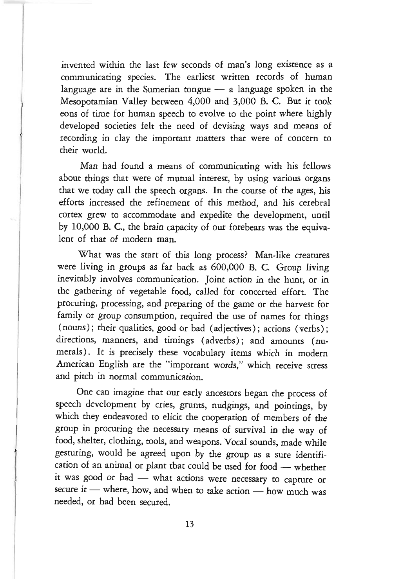invented within the last few seconds of man's long existence as a communicating species. The earliest written records of human language are in the Sumerian tongue  $-$  a language spoken in the Mesopotamian VaHey between 4,000 and 3,000 B. C. But it took eons of time for human speech to evolve to the point where highly developed societies felt the need of devising ways and means of recording in clay the important matters that were of concern to their world.

Man had found a means of communicating with his fellows about things that were of mutual interest, by using various organs that we today call the speech organs. In the course of the ages, his efforts increased the refinement of this method, and his cerebral cortex grew to accommodate and expedite the development, until by 10,000 B. C, the brain capacity of our forebears was the equivalent of that of modern man.

What was the start of this long process? Man-like creatures were living in groups as far back as 600,000 B. C. Group living inevitably involves communication. Joint action in the hunt, or in the gathering of vegetable food, called for concerted effort. The procuring, processing, and preparing of the game or the harvest for family or group consumption, required the use of names for things (nouns); their qualities, good or bad (adjectives); actions (verbs); directions, manners, and timings (adverbs); and amounts (numerals). It is precisely these vocabulary items which in modern American English are the "important words," which receive stress and pitch in normal communication.

One can imagine that our early ancestors began the process of speech development by cries, grunts, nudgings, and pointings, by which they endeavored to elicit the cooperation of members of the group in procuring the necessary means of survival in the way of food, shelter, clothing, tools, and weapons. Vocal sounds, made while gesturing, would be agreed upon by the group as a sure identification of an animal or plant that could be used for food - whether it was good or bad - what actions were necessary to capture or secure it  $-$  where, how, and when to take action  $-$  how much was needed, or had been secured.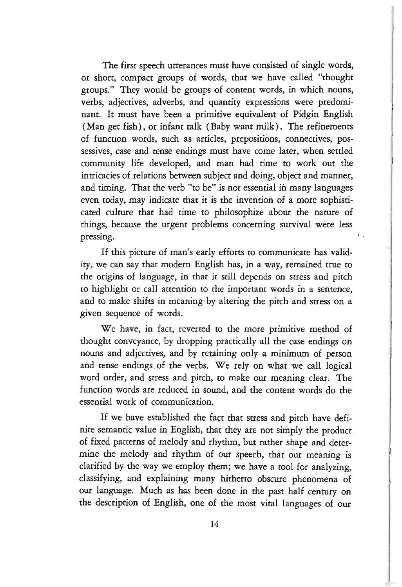The first speech utterances must have consisted of single words, or short, compact groups of words, that we have called "thought groups." They would be groups of content words, in which nouns, verbs, adjectives, adverbs, and quantity expressions were predominant. It must have been a primitive equivalent of Pidgin English (Man get fish), or infant talk (Baby want milk). The refinements of function words, such as articles, prepositions, connectives, possessives, case and tense endings must have come later, when settled community life developed, and man had time to work out the intricacies of relations between subject and doing, object and manner, and timing. That the verb "to be" is not essential in many languages even today, may indicate that it is the invention of a more sophisticated culture that had time to philosophize about the nature of things, because the urgent problems concerning survival were less pressing.

If this picture of man's early efforts to communicate has validity, we can say that modern 'English has, in a way, remained true to the origins of language, in that it still depends on stress and pitch to highlight or call attention to the important words in a sentence, and to make shifts in meaning by altering the pitch and stress on a given sequence of words.

We have, in fact, reverted to the more primitive method of thought conveyance, by dropping practically all the case endings on nouns and adjectives, and by retaining only a minimum of person and tense endings of the verbs. We rely on what we call logical word order, and stress and pitch, to make our meaning clear. The function words are reduced in sound, and the content words do the essential work of communication.

If we have established the fact that stress and pitch have definite semantic value in English, that they are not simply the product of fixed patterns of melody and rhythm, but rather shape and determine the melody and rhythm of our speech, that our meaning is clarified by the way we employ them; we have a tool for analyzing, classifying, and explaining many hitherto obscure phenomena of our language. Much as has been done in the past half century on the description of English, one of the most vital languages of our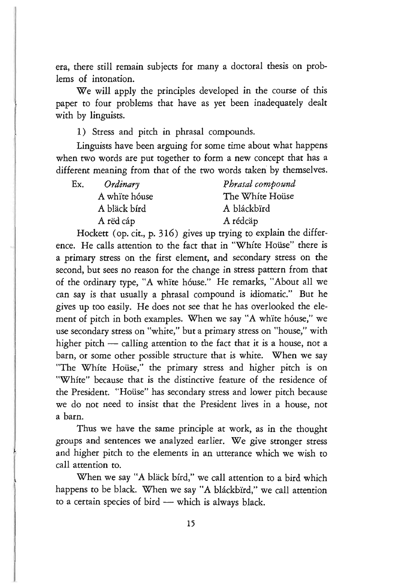era, there still remain subjects for many a doctoral thesis on problems of intonation.

We will apply the principles developed in the course of this paper to four problems that have as yet been inadequately dealt with by linguists.

1) Stress and pitch in phrasal compounds.

Linguists have been arguing for some time about what happens when two words are put together to form a new concept that has a different meaning from that of the two words taken by themselves.

| Ex. | Ordinary      | Phrasal compound |
|-----|---------------|------------------|
|     | A white hóuse | The White House  |
|     | A bläck bírd  | A bláckbïrd      |
|     | A rëd cáp     | A rédcäp         |
|     |               |                  |

Hockett (op. cit., p. 316) gives up trying to explain the difference. He calls attention to the fact that in "White Hoüse" there is a primary stress on the first element, and secondary stress on the second, but sees no reason for the change in stress pattern from that of the ordinary type, "A white house." He remarks, "About all we can say is that usually a phrasal compound is idiomatic." But he gives up too easily. He does not see that he has overlooked the element of pitch in both examples. When we say "A white house," we use secondary stress on "white," but a primary stress on "house," with higher pitch  $-$  calling attention to the fact that it is a house, not a barn, or some other possible structure that is white. When we say "The White House," the primary stress and higher pitch is on "White" because that is the distinctive feature of the residence of the President. "House" has secondary stress and lower pitch because we do not need to insist that the President lives in a house, not a barn.

Thus we have the same principle at work, as in the thought groups and sentences we analyzed earlier. We give stronger stress and higher pitch to the elements in an utterance which we wish to call attention to.

When we say "A black bird," we call attention to a bird which happens to be black. When we say "A bláckbïrd," we call attention to a certain species of bird  $-$  which is always black.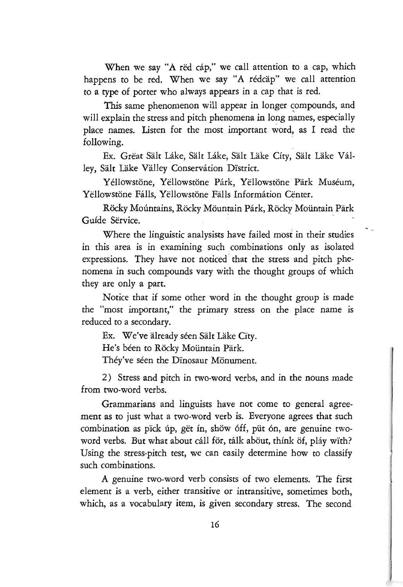When we say "A rëd cáp," we call attention to a cap, which happens to be red. When we say "A rédcäp" we call attention to a type of porter who always appears in a cap that is red.

This same phenomenon will appear in longer compounds, and will explain the stress and pitch phenomena in long names, especially place names. Listen for the most important word, as I read the following.

Ex. Great Salt Lake, Salt Lake, Salt Lake City, Salt Lake Valley, Sält Läke Välley Conservátion Dïstrict.

Yéllowstöne, Yëllowstöne Párk, Yëllowstöne Pärk Muséum, Yellowstöne Fálls, Yellowstöne Fälls Informátion Center.

Röcky Moúntains, Röcky Möuntain Párk, Röcky Moüntain Pärk Guíde Sërvice.

Where the linguistic analysists have failed most in their studies in this area is in examining such combinations only as isolated expressions. They have not noticed that the stress and pitch phenomena in such compounds vary with the thought groups of which they are only a part.

Notice that if some other word in the thought group is made the "most important," the primary stress on the place name is reduced to a secondary.

Ex. We've älready séen Sält Läke City.

He's béen to Röcky Moüntain Pärk.

Théy've séen the Dïnosaur Mönument.

2) Stress and pitch in two-word verbs, and in the nouns made from two-word verbs.

Grammarians and linguists have not come to general agreement as to just what a two-word verb is. Everyone agrees that such combination as pick úp, gët ín, shöw óff, püt ón, are genuine twoword verbs. But what about cáll för, tálk about, thínk öf, pláy with? Using the stress-pitch test, we can easily determine how to classify such combinations.

A genuine two-word verb consists of two elements. The first element is a verb, either transitive or intransitive, sometimes both, which, as a vocabulary item, is given secondary stress. The second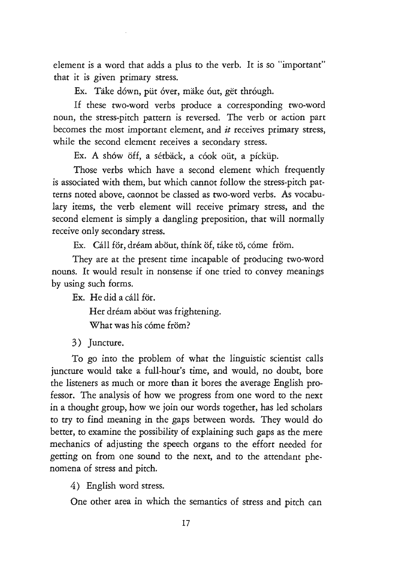element is a word that adds a plus to the verb. It is so "important" that it is given primary stress.

Ex. Täke dówn, püt óver, mäke óut, gët thróugh.

If these two-word verbs produce a corresponding two-word noun, the stress-pitch pattern is reversed. The verb or action part becomes the most important element, and *it* receives primary stress, while the second element receives a secondary stress.

Ex. A shów öff, a sétbäck, a cóok oüt, a pícküp.

Those verbs which have a second element which frequently is associated with them, but which cannot follow the stress-pitch patterns noted above, caonnot be classed as two-word verbs. As vocabulary items, the verb element will receive primary stress, and the second element is simply a dangling preposition, that will normally receive only secondary stress.

Ex. Cáll för, dréam aböut, thínk öf, táke tö, cóme fröm.

They are at the present time incapable of producing two-word nouns. It would result in nonsense if one tried to convey meanings by using such forms.

Ex. He did a call for.

Her dréam about was frightening.

What was his come from?

3) Juncture.

To go into the problem of what the linguistic scientist calls juncture would take a full-hour's time, and would, no doubt, bore the listeners as much or more than it bores the average English professor. The analysis of how we progress from one word to the next in a thought group, how we join our words together, has led scholars to try to find meaning in the gaps between words. They would do better, to examine the possibility of explaining such gaps as the mere mechanics of adjusting the speech organs to the effort needed for getting on from one sound to the next, and to the attendant phenomena of stress and pitch.

4) English word stress.

One other area in which the semantics of stress and pitch can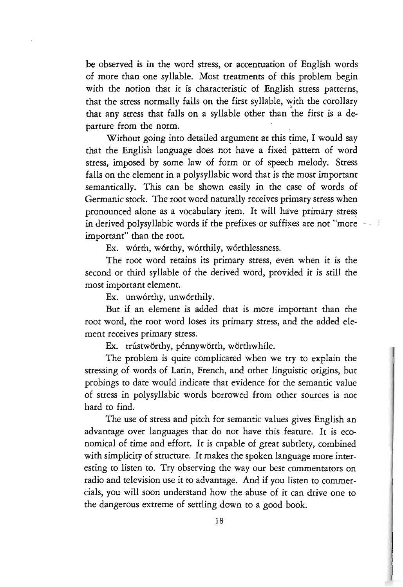be observed is in the word stress, or accentuation of English words of more than one syllable. Most treatments of this problem begin with the notion that it is characteristic of English stress patterns, that the stress normally falls on the first syllable, with the corollary , that any stress that falls on a syllable other than the first is a departure from the norm.

Without going into detailed argument at this time, I would say that the English language does not have a fixed pattern of word stress, imposed by some law of form or of speech melody. Stress falls on the element in a polysyllabic word that is the most important semantically. This can be shown easily in the case of words of Germanic stock. The root word naturally receives primary stress when pronounced alone as a vocabulary item. It will have primary stress in derived polysyllabic words 'if the prefixes or suffi~es are not "more • important" than the root.

Ex. wórth, wórthy, wórthily, wórthlessness.

The root word retains its primary stress, even when it is the second or third syllable of the derived word, provided it is still the most important element.

Ex. unwórthy, unwórthily.

But if an element is added that is more important than the root word, the root word loses its primary stress, and the added element receives primary stress.

Ex. trústwörthy, pénnywörth, wörthwhíle.

The problem is quite complicated when we try to explain the stressing of words of Latin, French, and other linguistic origins, but probings to date would indicate that evidence for the semantic value of stress in polysyllabic words borrowed from other sources is not hard to find.

The use of stress and pitch for semantic values gives English an advantage over languages that do not have this feature. It is economical of time and effort. It is capable of great subtlety, combined with simplicity of structure. It makes the spoken language more interesting to listen to. Try observing the way our best commentators on radio and television use it to advantage. And if you listen to commercials, you will soon understand how the abuse of it can drive one to the dangerous extreme of settling down to a good book.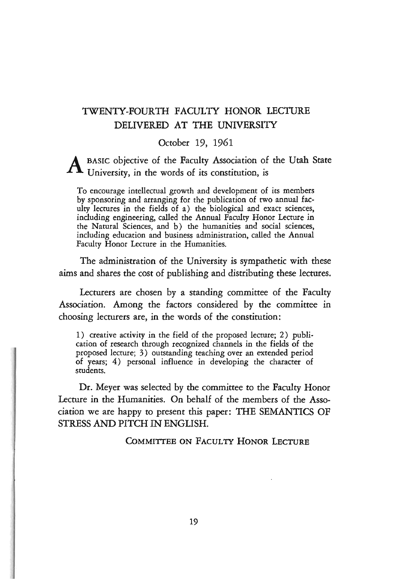# TWENTY-FOURTH FACULTY HONOR LECTURE DELIVERED AT THE UNIVERSITY

#### October 19, 1961

BASIC objective of the Faculty Association of the Utah State University, in the words of its constitution, is

To encourage intellectual growth and development of its members by sponsoring and arranging for the publication of two annual faculty lectures in the fields of a) the biological and exact sciences, including engineering, called the Annual Faculty Honor Lecture in the Natural Sciences, and b) the humanities and social sciences, including education and business administration, called the Annual Faculty Honor Lecture in the Humanities.

The administration of the University is sympathetic with these aims and shares the cost of publishing and distributing these lectures.

Lecturers are chosen by a standing committee of the Faculty Association. Among the factors considered by the committee in choosing lecturers are, in the words of the constitution:

1) creative activity in the field of the proposed lecture; 2) publication of research through recognized channels in the fields of the proposed lecture; 3) outstanding teaching over an extended period of years; 4) personal influence in developing the character of students.

Dr. Meyer was selected by the committee to the Faculty Honor Lecture in the Humanities. On behalf of the members of the Association we are happy to present this paper: THE SEMANTICS OF STRESS AND PITCH IN ENGLISH.

COMMITIEE ON FACULTY HONOR LECTURE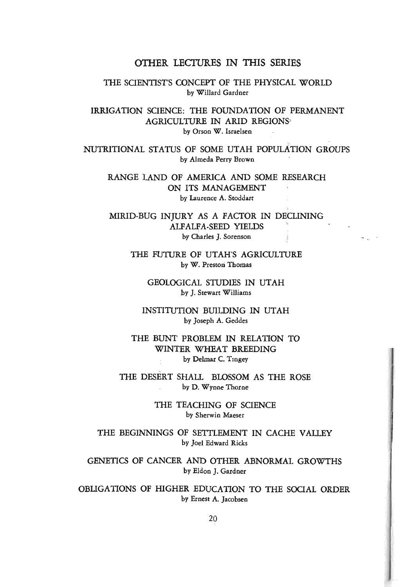#### OTHER LECTURES IN THIS SERIES

THE SCIENTIST'S CONCEPT OF THE PHYSICAL WORLD by Willard Gardner

IRRIGATION SCIENCE: THE FOUNDATION OF PERMANENT AGRICULTURE IN ARID REGIONS' by Orson W. Israelsen

NUTRITIONAL STATUS OF SOME UTAH POPULATION GROUPS by Almeda Perry Brown

RANGE LAND OF AMERICA AND SOME RESEARCH ON ITS MANAGEMENT by Laurence A. Stoddart

MIRID-BUG INJURY AS A FACTOR IN DECLINING ALFALFA-SEED YIELDS . by Charles J. Sorenson

 $\alpha_{\rm max}$  .

THE FUTURE OF UTAH'S AGRICULTURE by W. Preston Thomas

GEOLOGICAL STUDIES IN UTAH by J. Stewart Williams

INSTITUTION BUILDING IN UTAH by Joseph A. Geddes

THE BUNT PROBLEM IN RELATION TO WINTER WHEAT BREEDING by Delmar C. T:ngey

THE DESERT SHALL BLOSSOM AS THE ROSE by D. Wynne Thorne

> THE TEACHING OF SCIENCE by Sherwin Maeser

THE BEGINNINGS OF SETTLEMENT IN CACHE VALLEY by Joel Edward Ricks

GENETICS OF CANCER AND OTHER ABNORMAL GROWTHS by Eldon]. Gardner

OBLIGATIONS OF HIGHER EDUCATION TO THE SOCIAL ORDER by Ernest A. Jacobsen